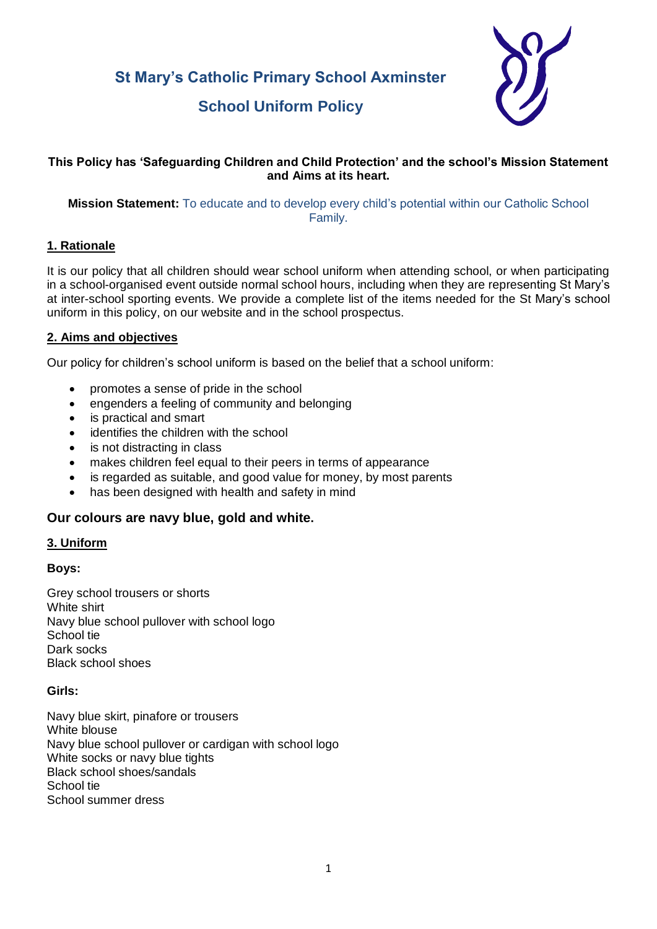**St Mary's Catholic Primary School Axminster**



# **School Uniform Policy**

# **This Policy has 'Safeguarding Children and Child Protection' and the school's Mission Statement and Aims at its heart.**

## **Mission Statement:** To educate and to develop every child's potential within our Catholic School Family.

## **1. Rationale**

It is our policy that all children should wear school uniform when attending school, or when participating in a school-organised event outside normal school hours, including when they are representing St Mary's at inter-school sporting events. We provide a complete list of the items needed for the St Mary's school uniform in this policy, on our website and in the school prospectus.

## **2. Aims and objectives**

Our policy for children's school uniform is based on the belief that a school uniform:

- promotes a sense of pride in the school
- engenders a feeling of community and belonging
- is practical and smart
- identifies the children with the school
- is not distracting in class
- makes children feel equal to their peers in terms of appearance
- is regarded as suitable, and good value for money, by most parents
- has been designed with health and safety in mind

# **Our colours are navy blue, gold and white.**

#### **3. Uniform**

#### **Boys:**

Grey school trousers or shorts White shirt Navy blue school pullover with school logo School tie Dark socks Black school shoes

#### **Girls:**

Navy blue skirt, pinafore or trousers White blouse Navy blue school pullover or cardigan with school logo White socks or navy blue tights Black school shoes/sandals School tie School summer dress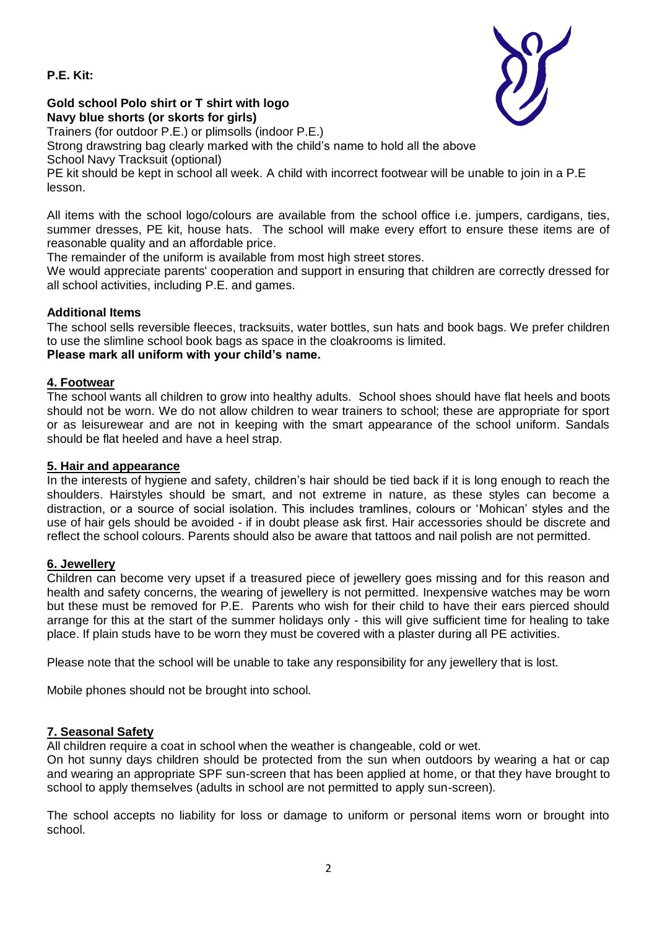## **P.E. Kit:**



## **Gold school Polo shirt or T shirt with logo Navy blue shorts (or skorts for girls)**

Trainers (for outdoor P.E.) or plimsolls (indoor P.E.) Strong drawstring bag clearly marked with the child's name to hold all the above

School Navy Tracksuit (optional)

PE kit should be kept in school all week. A child with incorrect footwear will be unable to join in a P.E lesson.

All items with the school logo/colours are available from the school office i.e. jumpers, cardigans, ties, summer dresses, PE kit, house hats. The school will make every effort to ensure these items are of reasonable quality and an affordable price.

The remainder of the uniform is available from most high street stores.

We would appreciate parents' cooperation and support in ensuring that children are correctly dressed for all school activities, including P.E. and games.

# **Additional Items**

The school sells reversible fleeces, tracksuits, water bottles, sun hats and book bags. We prefer children to use the slimline school book bags as space in the cloakrooms is limited.

# **Please mark all uniform with your child's name.**

## **4. Footwear**

The school wants all children to grow into healthy adults. School shoes should have flat heels and boots should not be worn. We do not allow children to wear trainers to school; these are appropriate for sport or as leisurewear and are not in keeping with the smart appearance of the school uniform. Sandals should be flat heeled and have a heel strap.

#### **5. Hair and appearance**

In the interests of hygiene and safety, children's hair should be tied back if it is long enough to reach the shoulders. Hairstyles should be smart, and not extreme in nature, as these styles can become a distraction, or a source of social isolation. This includes tramlines, colours or 'Mohican' styles and the use of hair gels should be avoided - if in doubt please ask first. Hair accessories should be discrete and reflect the school colours. Parents should also be aware that tattoos and nail polish are not permitted.

# **6. Jewellery**

Children can become very upset if a treasured piece of jewellery goes missing and for this reason and health and safety concerns, the wearing of jewellery is not permitted. Inexpensive watches may be worn but these must be removed for P.E. Parents who wish for their child to have their ears pierced should arrange for this at the start of the summer holidays only - this will give sufficient time for healing to take place. If plain studs have to be worn they must be covered with a plaster during all PE activities.

Please note that the school will be unable to take any responsibility for any jewellery that is lost.

Mobile phones should not be brought into school.

# **7. Seasonal Safety**

All children require a coat in school when the weather is changeable, cold or wet.

On hot sunny days children should be protected from the sun when outdoors by wearing a hat or cap and wearing an appropriate SPF sun-screen that has been applied at home, or that they have brought to school to apply themselves (adults in school are not permitted to apply sun-screen).

The school accepts no liability for loss or damage to uniform or personal items worn or brought into school.